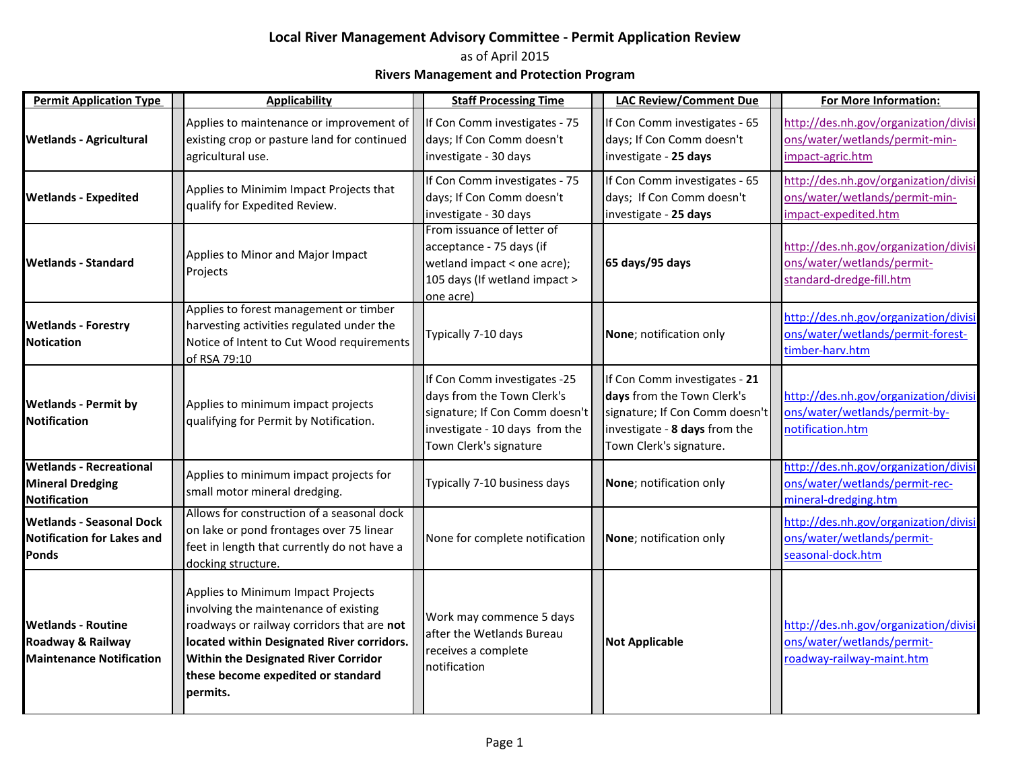| <b>Permit Application Type</b>                                                       | <b>Applicability</b>                                                                                                                                                                                                                                              | <b>Staff Processing Time</b>                                                                                                                             | <b>LAC Review/Comment Due</b>                                                                                                                             | For More Information:                                                                            |
|--------------------------------------------------------------------------------------|-------------------------------------------------------------------------------------------------------------------------------------------------------------------------------------------------------------------------------------------------------------------|----------------------------------------------------------------------------------------------------------------------------------------------------------|-----------------------------------------------------------------------------------------------------------------------------------------------------------|--------------------------------------------------------------------------------------------------|
| <b>Wetlands - Agricultural</b>                                                       | Applies to maintenance or improvement of<br>existing crop or pasture land for continued<br>agricultural use.                                                                                                                                                      | If Con Comm investigates - 75<br>days; If Con Comm doesn't<br>investigate - 30 days                                                                      | If Con Comm investigates - 65<br>days; If Con Comm doesn't<br>investigate - 25 days                                                                       | http://des.nh.gov/organization/divisi<br>ons/water/wetlands/permit-min-<br>impact-agric.htm      |
| <b>Wetlands - Expedited</b>                                                          | Applies to Minimim Impact Projects that<br>qualify for Expedited Review.                                                                                                                                                                                          | If Con Comm investigates - 75<br>days; If Con Comm doesn't<br>investigate - 30 days                                                                      | If Con Comm investigates - 65<br>days; If Con Comm doesn't<br>investigate - 25 days                                                                       | http://des.nh.gov/organization/divisi<br>ons/water/wetlands/permit-min-<br>impact-expedited.htm  |
| <b>Wetlands - Standard</b>                                                           | Applies to Minor and Major Impact<br>Projects                                                                                                                                                                                                                     | From issuance of letter of<br>acceptance - 75 days (if<br>wetland impact < one acre);<br>105 days (If wetland impact ><br>one acre)                      | 65 days/95 days                                                                                                                                           | http://des.nh.gov/organization/divisi<br>ons/water/wetlands/permit-<br>standard-dredge-fill.htm  |
| <b>Wetlands - Forestry</b><br><b>Notication</b>                                      | Applies to forest management or timber<br>harvesting activities regulated under the<br>Notice of Intent to Cut Wood requirements<br>of RSA 79:10                                                                                                                  | Typically 7-10 days                                                                                                                                      | None; notification only                                                                                                                                   | http://des.nh.gov/organization/divisi<br>ons/water/wetlands/permit-forest-<br>timber-harv.htm    |
| <b>Wetlands - Permit by</b><br><b>Notification</b>                                   | Applies to minimum impact projects<br>qualifying for Permit by Notification.                                                                                                                                                                                      | If Con Comm investigates -25<br>days from the Town Clerk's<br>signature; If Con Comm doesn't<br>investigate - 10 days from the<br>Town Clerk's signature | If Con Comm investigates - 21<br>days from the Town Clerk's<br>signature; If Con Comm doesn't<br>investigate - 8 days from the<br>Town Clerk's signature. | http://des.nh.gov/organization/divisi<br>ons/water/wetlands/permit-by-<br>notification.htm       |
| <b>Wetlands - Recreational</b><br><b>Mineral Dredging</b><br><b>Notification</b>     | Applies to minimum impact projects for<br>small motor mineral dredging.                                                                                                                                                                                           | Typically 7-10 business days                                                                                                                             | None; notification only                                                                                                                                   | http://des.nh.gov/organization/divisi<br>ons/water/wetlands/permit-rec-<br>mineral-dredging.htm  |
| <b>Wetlands - Seasonal Dock</b><br><b>Notification for Lakes and</b><br><b>Ponds</b> | Allows for construction of a seasonal dock<br>on lake or pond frontages over 75 linear<br>feet in length that currently do not have a<br>docking structure.                                                                                                       | None for complete notification                                                                                                                           | None; notification only                                                                                                                                   | http://des.nh.gov/organization/divisi<br>ons/water/wetlands/permit-<br>seasonal-dock.htm         |
| <b>Wetlands - Routine</b><br>Roadway & Railway<br><b>Maintenance Notification</b>    | Applies to Minimum Impact Projects<br>involving the maintenance of existing<br>roadways or railway corridors that are not<br>located within Designated River corridors.<br>Within the Designated River Corridor<br>these become expedited or standard<br>permits. | Work may commence 5 days<br>after the Wetlands Bureau<br>receives a complete<br>notification                                                             | <b>Not Applicable</b>                                                                                                                                     | http://des.nh.gov/organization/divisi<br>ons/water/wetlands/permit-<br>roadway-railway-maint.htm |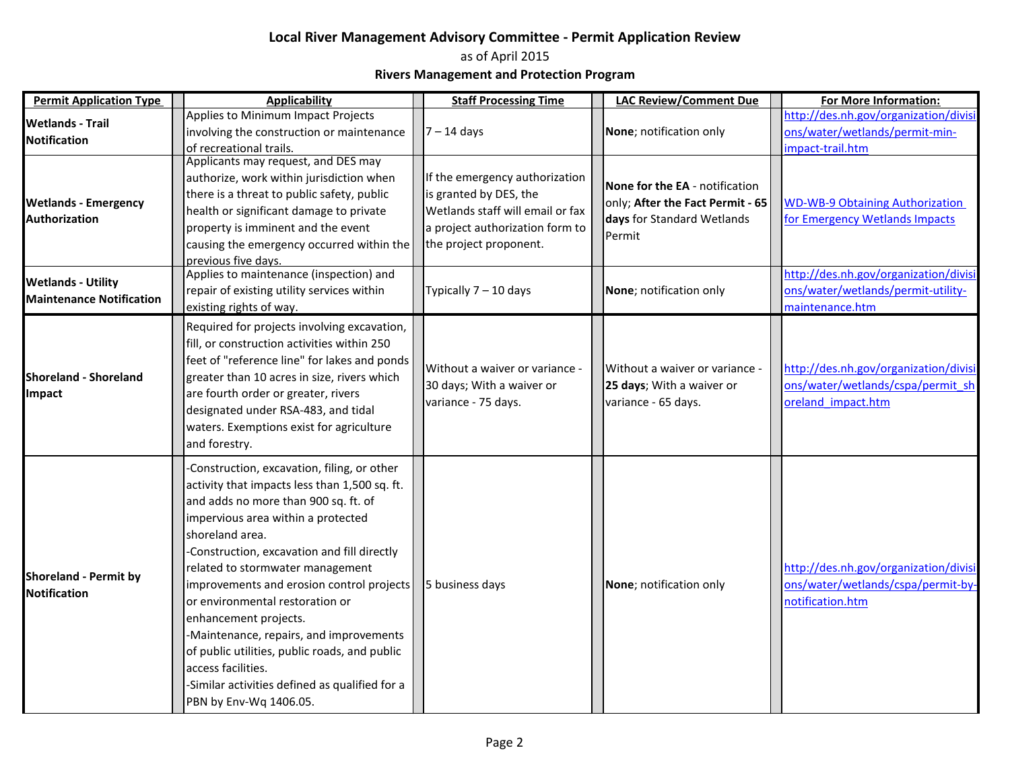| <b>Permit Application Type</b>                               | <b>Applicability</b>                                                                                                                                                                                                                                                                                                                                                                                                                                                                                                                                                                   | <b>Staff Processing Time</b>                                                                                                                              | <b>LAC Review/Comment Due</b>                                                                              | For More Information:                                                                            |
|--------------------------------------------------------------|----------------------------------------------------------------------------------------------------------------------------------------------------------------------------------------------------------------------------------------------------------------------------------------------------------------------------------------------------------------------------------------------------------------------------------------------------------------------------------------------------------------------------------------------------------------------------------------|-----------------------------------------------------------------------------------------------------------------------------------------------------------|------------------------------------------------------------------------------------------------------------|--------------------------------------------------------------------------------------------------|
| <b>Wetlands - Trail</b><br>Notification                      | Applies to Minimum Impact Projects<br>involving the construction or maintenance<br>of recreational trails.                                                                                                                                                                                                                                                                                                                                                                                                                                                                             | $7 - 14$ days                                                                                                                                             | None; notification only                                                                                    | http://des.nh.gov/organization/divisi<br>ons/water/wetlands/permit-min-<br>impact-trail.htm      |
| <b>Wetlands - Emergency</b><br><b>Authorization</b>          | Applicants may request, and DES may<br>authorize, work within jurisdiction when<br>there is a threat to public safety, public<br>health or significant damage to private<br>property is imminent and the event<br>causing the emergency occurred within the<br>previous five days.                                                                                                                                                                                                                                                                                                     | If the emergency authorization<br>is granted by DES, the<br>Wetlands staff will email or fax<br>a project authorization form to<br>the project proponent. | None for the EA - notification<br>only; After the Fact Permit - 65<br>days for Standard Wetlands<br>Permit | <b>WD-WB-9 Obtaining Authorization</b><br>for Emergency Wetlands Impacts                         |
| <b>Wetlands - Utility</b><br><b>Maintenance Notification</b> | Applies to maintenance (inspection) and<br>repair of existing utility services within<br>existing rights of way.                                                                                                                                                                                                                                                                                                                                                                                                                                                                       | Typically 7 - 10 days                                                                                                                                     | None; notification only                                                                                    | http://des.nh.gov/organization/divis<br>ons/water/wetlands/permit-utility-<br>maintenance.htm    |
| <b>Shoreland - Shoreland</b><br>Impact                       | Required for projects involving excavation,<br>fill, or construction activities within 250<br>feet of "reference line" for lakes and ponds<br>greater than 10 acres in size, rivers which<br>are fourth order or greater, rivers<br>designated under RSA-483, and tidal<br>waters. Exemptions exist for agriculture<br>and forestry.                                                                                                                                                                                                                                                   | Without a waiver or variance -<br>30 days; With a waiver or<br>variance - 75 days.                                                                        | Without a waiver or variance -<br>25 days; With a waiver or<br>variance - 65 days.                         | http://des.nh.gov/organization/divisi<br>ons/water/wetlands/cspa/permit_sh<br>oreland impact.htm |
| <b>Shoreland - Permit by</b><br><b>Notification</b>          | Construction, excavation, filing, or other<br>activity that impacts less than 1,500 sq. ft.<br>and adds no more than 900 sq. ft. of<br>impervious area within a protected<br>shoreland area.<br>-Construction, excavation and fill directly<br>related to stormwater management<br>improvements and erosion control projects<br>or environmental restoration or<br>enhancement projects.<br>-Maintenance, repairs, and improvements<br>of public utilities, public roads, and public<br>access facilities.<br>-Similar activities defined as qualified for a<br>PBN by Env-Wq 1406.05. | 5 business days                                                                                                                                           | None; notification only                                                                                    | http://des.nh.gov/organization/divisi<br>ons/water/wetlands/cspa/permit-by-<br>notification.htm  |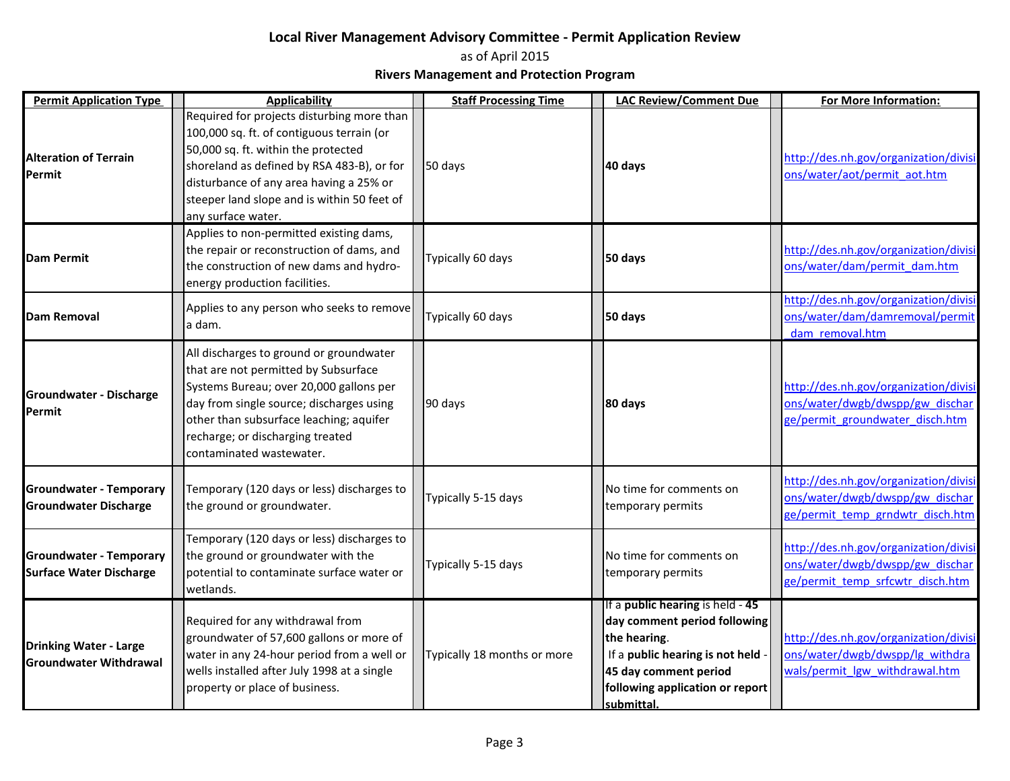| <b>Permit Application Type</b>                                   | <b>Applicability</b>                                                                                                                                                                                                                                                                         | <b>Staff Processing Time</b> | <b>LAC Review/Comment Due</b>                                                                                                                                                                 | <b>For More Information:</b>                                                                                 |
|------------------------------------------------------------------|----------------------------------------------------------------------------------------------------------------------------------------------------------------------------------------------------------------------------------------------------------------------------------------------|------------------------------|-----------------------------------------------------------------------------------------------------------------------------------------------------------------------------------------------|--------------------------------------------------------------------------------------------------------------|
| <b>Alteration of Terrain</b><br>Permit                           | Required for projects disturbing more than<br>100,000 sq. ft. of contiguous terrain (or<br>50,000 sq. ft. within the protected<br>shoreland as defined by RSA 483-B), or for<br>disturbance of any area having a 25% or<br>steeper land slope and is within 50 feet of<br>any surface water. | 50 days                      | 40 days                                                                                                                                                                                       | http://des.nh.gov/organization/divisi<br>ons/water/aot/permit_aot.htm                                        |
| <b>Dam Permit</b>                                                | Applies to non-permitted existing dams,<br>the repair or reconstruction of dams, and<br>the construction of new dams and hydro-<br>energy production facilities.                                                                                                                             | Typically 60 days            | 50 days                                                                                                                                                                                       | http://des.nh.gov/organization/divisi<br>ons/water/dam/permit_dam.htm                                        |
| <b>Dam Removal</b>                                               | Applies to any person who seeks to remove<br>a dam.                                                                                                                                                                                                                                          | Typically 60 days            | 50 days                                                                                                                                                                                       | http://des.nh.gov/organization/divisi<br>ons/water/dam/damremoval/permit<br>dam removal.htm                  |
| Groundwater - Discharge<br>Permit                                | All discharges to ground or groundwater<br>that are not permitted by Subsurface<br>Systems Bureau; over 20,000 gallons per<br>day from single source; discharges using<br>other than subsurface leaching; aquifer<br>recharge; or discharging treated<br>contaminated wastewater.            | 90 days                      | 80 days                                                                                                                                                                                       | http://des.nh.gov/organization/divisi<br>ons/water/dwgb/dwspp/gw dischar<br>ge/permit groundwater disch.htm  |
| <b>Groundwater - Temporary</b><br><b>Groundwater Discharge</b>   | Temporary (120 days or less) discharges to<br>the ground or groundwater.                                                                                                                                                                                                                     | Typically 5-15 days          | No time for comments on<br>temporary permits                                                                                                                                                  | http://des.nh.gov/organization/divisi<br>ons/water/dwgb/dwspp/gw dischar<br>ge/permit temp grndwtr disch.htm |
| <b>Groundwater - Temporary</b><br><b>Surface Water Discharge</b> | Temporary (120 days or less) discharges to<br>the ground or groundwater with the<br>potential to contaminate surface water or<br>wetlands.                                                                                                                                                   | Typically 5-15 days          | No time for comments on<br>temporary permits                                                                                                                                                  | http://des.nh.gov/organization/divisi<br>ons/water/dwgb/dwspp/gw dischar<br>ge/permit temp srfcwtr disch.htm |
| <b>Drinking Water - Large</b><br><b>Groundwater Withdrawal</b>   | Required for any withdrawal from<br>groundwater of 57,600 gallons or more of<br>water in any 24-hour period from a well or<br>wells installed after July 1998 at a single<br>property or place of business.                                                                                  | Typically 18 months or more  | If a public hearing is held - 45<br>day comment period following<br>the hearing.<br>If a public hearing is not held<br>45 day comment period<br>following application or report<br>submittal. | http://des.nh.gov/organization/divisi<br>ons/water/dwgb/dwspp/lg withdra<br>wals/permit lgw withdrawal.htm   |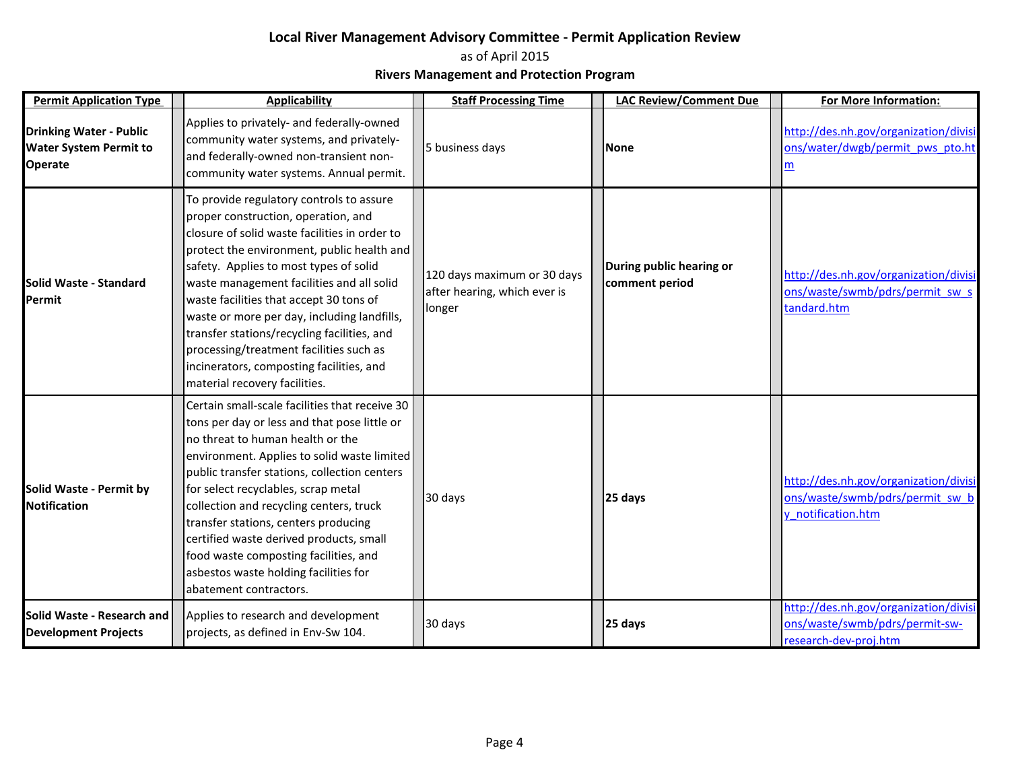| <b>Permit Application Type</b>                                                    | <b>Applicability</b>                                                                                                                                                                                                                                                                                                                                                                                                                                                                                                                   | <b>Staff Processing Time</b>                                          | <b>LAC Review/Comment Due</b>              | For More Information:                                                                            |
|-----------------------------------------------------------------------------------|----------------------------------------------------------------------------------------------------------------------------------------------------------------------------------------------------------------------------------------------------------------------------------------------------------------------------------------------------------------------------------------------------------------------------------------------------------------------------------------------------------------------------------------|-----------------------------------------------------------------------|--------------------------------------------|--------------------------------------------------------------------------------------------------|
| <b>Drinking Water - Public</b><br><b>Water System Permit to</b><br><b>Operate</b> | Applies to privately- and federally-owned<br>community water systems, and privately-<br>and federally-owned non-transient non-<br>community water systems. Annual permit.                                                                                                                                                                                                                                                                                                                                                              | 5 business days                                                       | <b>None</b>                                | http://des.nh.gov/organization/divisi<br>ons/water/dwgb/permit pws pto.ht                        |
| Solid Waste - Standard<br><b>Permit</b>                                           | To provide regulatory controls to assure<br>proper construction, operation, and<br>closure of solid waste facilities in order to<br>protect the environment, public health and<br>safety. Applies to most types of solid<br>waste management facilities and all solid<br>waste facilities that accept 30 tons of<br>waste or more per day, including landfills,<br>transfer stations/recycling facilities, and<br>processing/treatment facilities such as<br>incinerators, composting facilities, and<br>material recovery facilities. | 120 days maximum or 30 days<br>after hearing, which ever is<br>longer | During public hearing or<br>comment period | http://des.nh.gov/organization/divisi<br>ons/waste/swmb/pdrs/permit sw s<br>tandard.htm          |
| Solid Waste - Permit by<br><b>Notification</b>                                    | Certain small-scale facilities that receive 30<br>tons per day or less and that pose little or<br>no threat to human health or the<br>environment. Applies to solid waste limited<br>public transfer stations, collection centers<br>for select recyclables, scrap metal<br>collection and recycling centers, truck<br>transfer stations, centers producing<br>certified waste derived products, small<br>food waste composting facilities, and<br>asbestos waste holding facilities for<br>abatement contractors.                     | 30 days                                                               | 25 days                                    | http://des.nh.gov/organization/divisi<br>ons/waste/swmb/pdrs/permit sw b<br>y notification.htm   |
| Solid Waste - Research and<br><b>Development Projects</b>                         | Applies to research and development<br>projects, as defined in Env-Sw 104.                                                                                                                                                                                                                                                                                                                                                                                                                                                             | 30 days                                                               | 25 days                                    | http://des.nh.gov/organization/divisi<br>ons/waste/swmb/pdrs/permit-sw-<br>research-dev-proj.htm |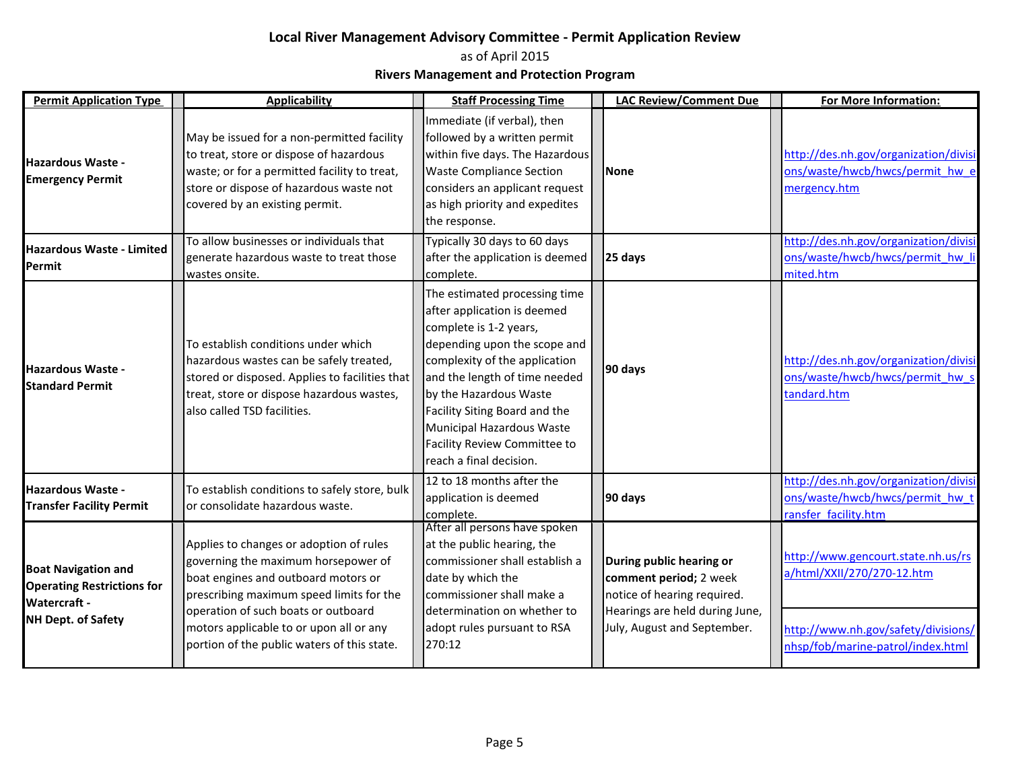| <b>Applicability</b>                                                                                                                                                                                                                                                                               | <b>Staff Processing Time</b>                                                                                                                                                                                                                                                                                                                | <b>LAC Review/Comment Due</b>                                                                                                                      | For More Information:                                                                                                                        |
|----------------------------------------------------------------------------------------------------------------------------------------------------------------------------------------------------------------------------------------------------------------------------------------------------|---------------------------------------------------------------------------------------------------------------------------------------------------------------------------------------------------------------------------------------------------------------------------------------------------------------------------------------------|----------------------------------------------------------------------------------------------------------------------------------------------------|----------------------------------------------------------------------------------------------------------------------------------------------|
| May be issued for a non-permitted facility<br>to treat, store or dispose of hazardous<br>waste; or for a permitted facility to treat,<br>store or dispose of hazardous waste not<br>covered by an existing permit.                                                                                 | Immediate (if verbal), then<br>followed by a written permit<br>within five days. The Hazardous<br><b>Waste Compliance Section</b><br>considers an applicant request<br>as high priority and expedites<br>the response.                                                                                                                      | None                                                                                                                                               | http://des.nh.gov/organization/divisi<br>ons/waste/hwcb/hwcs/permit hw e<br>mergency.htm                                                     |
| To allow businesses or individuals that<br>generate hazardous waste to treat those<br>wastes onsite.                                                                                                                                                                                               | Typically 30 days to 60 days<br>after the application is deemed<br>complete.                                                                                                                                                                                                                                                                | 25 days                                                                                                                                            | http://des.nh.gov/organization/divisi<br>ons/waste/hwcb/hwcs/permit hw li<br>mited.htm                                                       |
| To establish conditions under which<br>hazardous wastes can be safely treated,<br>stored or disposed. Applies to facilities that<br>treat, store or dispose hazardous wastes,<br>also called TSD facilities.                                                                                       | The estimated processing time<br>after application is deemed<br>complete is 1-2 years,<br>depending upon the scope and<br>complexity of the application<br>and the length of time needed<br>by the Hazardous Waste<br>Facility Siting Board and the<br>Municipal Hazardous Waste<br>Facility Review Committee to<br>reach a final decision. | 90 days                                                                                                                                            | http://des.nh.gov/organization/divisi<br>ons/waste/hwcb/hwcs/permit hw s<br>tandard.htm                                                      |
| To establish conditions to safely store, bulk<br>or consolidate hazardous waste.                                                                                                                                                                                                                   | 12 to 18 months after the<br>application is deemed<br>complete.                                                                                                                                                                                                                                                                             | 90 days                                                                                                                                            | http://des.nh.gov/organization/divisi<br>ons/waste/hwcb/hwcs/permit hw t<br>ransfer facility.htm                                             |
| Applies to changes or adoption of rules<br>governing the maximum horsepower of<br>boat engines and outboard motors or<br>prescribing maximum speed limits for the<br>operation of such boats or outboard<br>motors applicable to or upon all or any<br>portion of the public waters of this state. | at the public hearing, the<br>commissioner shall establish a<br>date by which the<br>commissioner shall make a<br>determination on whether to<br>adopt rules pursuant to RSA<br>270:12                                                                                                                                                      | During public hearing or<br>comment period; 2 week<br>notice of hearing required.<br>Hearings are held during June,<br>July, August and September. | http://www.gencourt.state.nh.us/rs<br>a/html/XXII/270/270-12.htm<br>http://www.nh.gov/safety/divisions/<br>nhsp/fob/marine-patrol/index.html |
|                                                                                                                                                                                                                                                                                                    |                                                                                                                                                                                                                                                                                                                                             | After all persons have spoken                                                                                                                      |                                                                                                                                              |